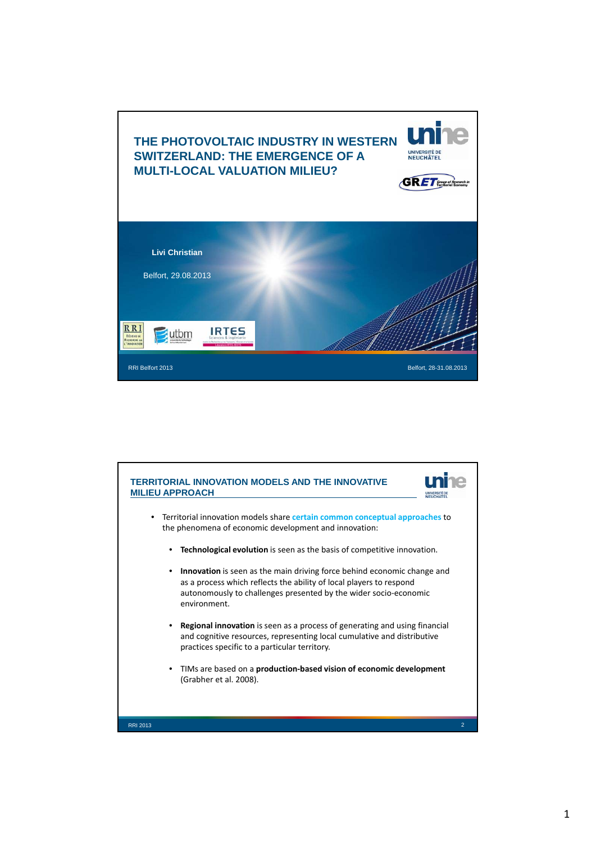

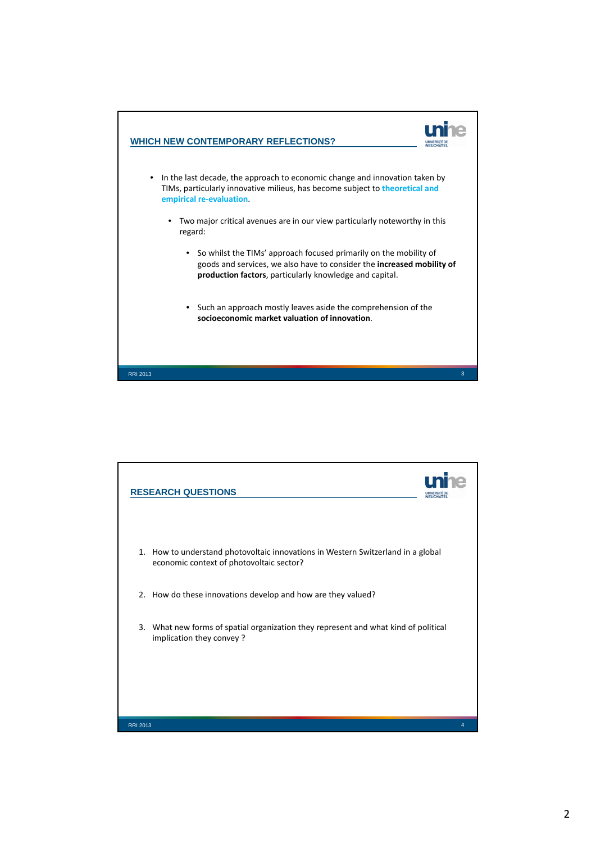

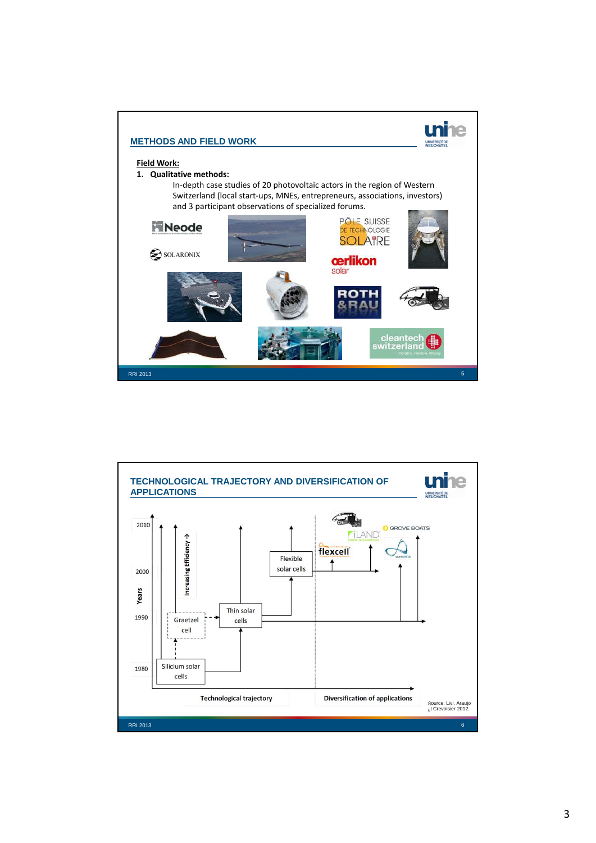

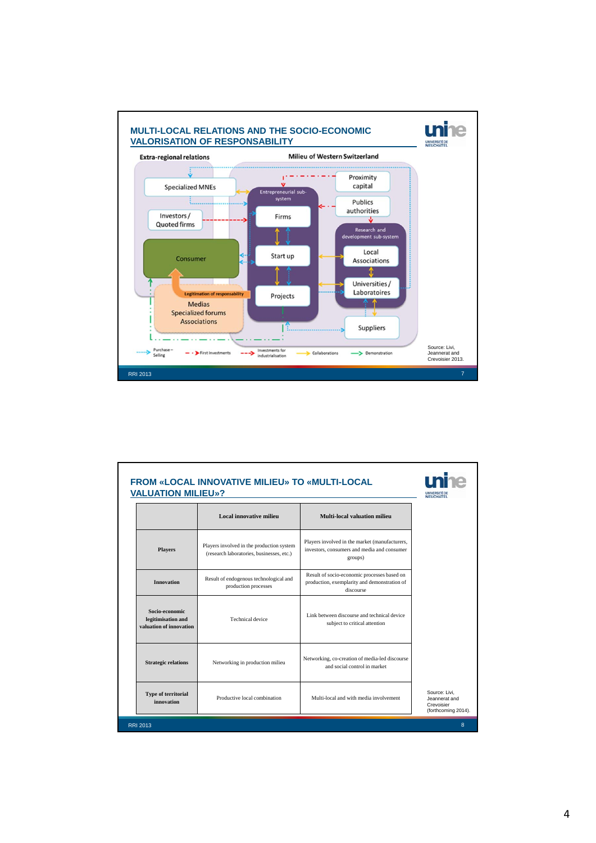

| <b>FROM «LOCAL INNOVATIVE MILIEU» TO «MULTI-LOCAL</b><br><b>VALUATION MILIEU»?</b> |                                                                                        |                                                                                                          | <b>NEUCHATEL</b>                                                    |
|------------------------------------------------------------------------------------|----------------------------------------------------------------------------------------|----------------------------------------------------------------------------------------------------------|---------------------------------------------------------------------|
|                                                                                    | Local innovative milieu                                                                | Multi-local valuation milieu                                                                             |                                                                     |
| <b>Players</b>                                                                     | Players involved in the production system<br>(research laboratories, businesses, etc.) | Players involved in the market (manufacturers,<br>investors, consumers and media and consumer<br>groups) |                                                                     |
| <b>Innovation</b>                                                                  | Result of endogenous technological and<br>production processes                         | Result of socio-economic processes based on<br>production, exemplarity and demonstration of<br>discourse |                                                                     |
| Socio-economic<br>legitimisation and<br>valuation of innovation                    | Technical device                                                                       | Link between discourse and technical device<br>subject to critical attention                             |                                                                     |
| <b>Strategic relations</b>                                                         | Networking in production milieu                                                        | Networking, co-creation of media-led discourse<br>and social control in market                           |                                                                     |
| <b>Type of territorial</b><br>innovation                                           | Productive local combination                                                           | Multi-local and with media involvement                                                                   | Source: Livi.<br>Jeannerat and<br>Crevoisier<br>(forthcoming 2014). |
| <b>RRI 2013</b>                                                                    |                                                                                        |                                                                                                          | 8                                                                   |